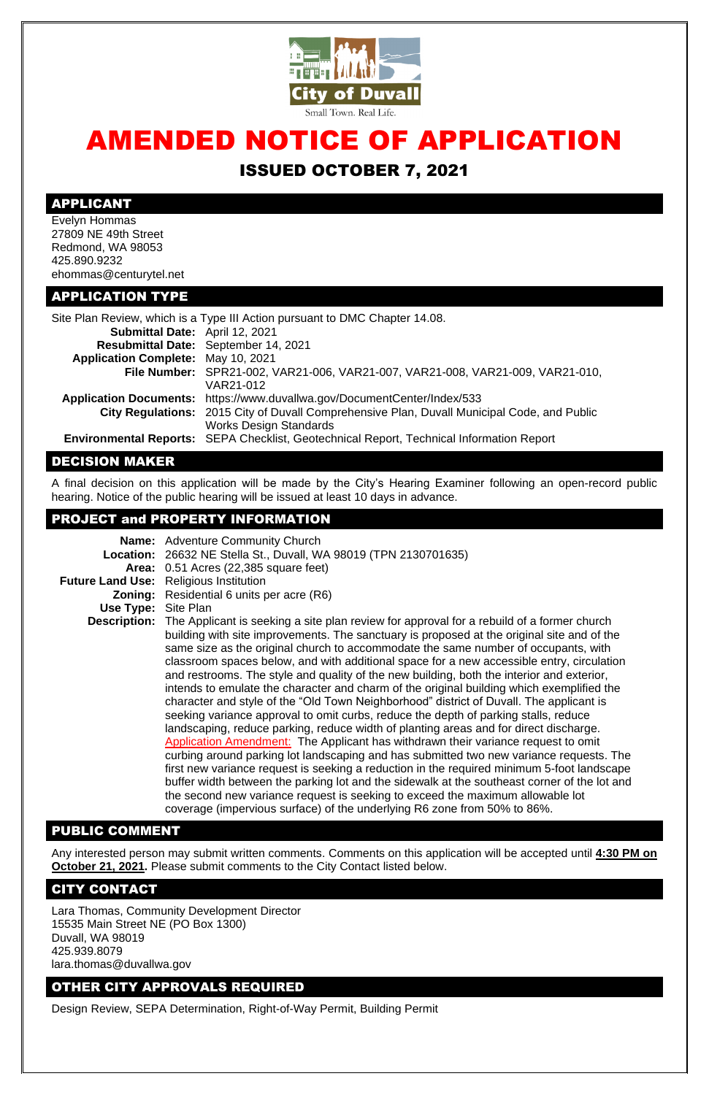

# AMENDED NOTICE OF APPLICATION ISSUED OCTOBER 7, 2021

## APPLICANT

Evelyn Hommas 27809 NE 49th Street Redmond, WA 98053 425.890.9232 ehommas@centurytel.net

### APPLICATION TYPE

| Site Plan Review, which is a Type III Action pursuant to DMC Chapter 14.08. |                                                                                             |
|-----------------------------------------------------------------------------|---------------------------------------------------------------------------------------------|
| Submittal Date: April 12, 2021                                              |                                                                                             |
|                                                                             | Resubmittal Date: September 14, 2021                                                        |
| <b>Application Complete: May 10, 2021</b>                                   |                                                                                             |
|                                                                             | File Number: SPR21-002, VAR21-006, VAR21-007, VAR21-008, VAR21-009, VAR21-010,              |
|                                                                             | VAR21-012                                                                                   |
|                                                                             | Application Documents: https://www.duvallwa.gov/DocumentCenter/Index/533                    |
|                                                                             | City Regulations: 2015 City of Duvall Comprehensive Plan, Duvall Municipal Code, and Public |
|                                                                             | <b>Works Design Standards</b>                                                               |
|                                                                             | Environmental Reports: SEPA Checklist, Geotechnical Report, Technical Information Report    |

### DECISION MAKER

A final decision on this application will be made by the City's Hearing Examiner following an open-record public hearing. Notice of the public hearing will be issued at least 10 days in advance.

# PROJECT and PROPERTY INFORMATION

|                            | <b>Name:</b> Adventure Community Church                                                                                                                                                                                                                                                                                                                                                                                                                                                                                                                                                                                                                                                                                                                                                                                                                                                                                                                                                                                                                                                                                                                                                                                                                                                                                             |
|----------------------------|-------------------------------------------------------------------------------------------------------------------------------------------------------------------------------------------------------------------------------------------------------------------------------------------------------------------------------------------------------------------------------------------------------------------------------------------------------------------------------------------------------------------------------------------------------------------------------------------------------------------------------------------------------------------------------------------------------------------------------------------------------------------------------------------------------------------------------------------------------------------------------------------------------------------------------------------------------------------------------------------------------------------------------------------------------------------------------------------------------------------------------------------------------------------------------------------------------------------------------------------------------------------------------------------------------------------------------------|
|                            | Location: 26632 NE Stella St., Duvall, WA 98019 (TPN 2130701635)                                                                                                                                                                                                                                                                                                                                                                                                                                                                                                                                                                                                                                                                                                                                                                                                                                                                                                                                                                                                                                                                                                                                                                                                                                                                    |
|                            | Area: 0.51 Acres (22,385 square feet)                                                                                                                                                                                                                                                                                                                                                                                                                                                                                                                                                                                                                                                                                                                                                                                                                                                                                                                                                                                                                                                                                                                                                                                                                                                                                               |
|                            | <b>Future Land Use:</b> Religious Institution                                                                                                                                                                                                                                                                                                                                                                                                                                                                                                                                                                                                                                                                                                                                                                                                                                                                                                                                                                                                                                                                                                                                                                                                                                                                                       |
|                            | <b>Zoning:</b> Residential 6 units per acre (R6)                                                                                                                                                                                                                                                                                                                                                                                                                                                                                                                                                                                                                                                                                                                                                                                                                                                                                                                                                                                                                                                                                                                                                                                                                                                                                    |
| <b>Use Type: Site Plan</b> |                                                                                                                                                                                                                                                                                                                                                                                                                                                                                                                                                                                                                                                                                                                                                                                                                                                                                                                                                                                                                                                                                                                                                                                                                                                                                                                                     |
|                            | <b>Description:</b> The Applicant is seeking a site plan review for approval for a rebuild of a former church<br>building with site improvements. The sanctuary is proposed at the original site and of the<br>same size as the original church to accommodate the same number of occupants, with<br>classroom spaces below, and with additional space for a new accessible entry, circulation<br>and restrooms. The style and quality of the new building, both the interior and exterior,<br>intends to emulate the character and charm of the original building which exemplified the<br>character and style of the "Old Town Neighborhood" district of Duvall. The applicant is<br>seeking variance approval to omit curbs, reduce the depth of parking stalls, reduce<br>landscaping, reduce parking, reduce width of planting areas and for direct discharge.<br>Application Amendment: The Applicant has withdrawn their variance request to omit<br>curbing around parking lot landscaping and has submitted two new variance requests. The<br>first new variance request is seeking a reduction in the required minimum 5-foot landscape<br>buffer width between the parking lot and the sidewalk at the southeast corner of the lot and<br>the second new variance request is seeking to exceed the maximum allowable lot |

coverage (impervious surface) of the underlying R6 zone from 50% to 86%.

## PUBLIC COMMENT

Any interested person may submit written comments. Comments on this application will be accepted until **4:30 PM on October 21, 2021.** Please submit comments to the City Contact listed below.

#### CITY CONTACT

Lara Thomas, Community Development Director 15535 Main Street NE (PO Box 1300) Duvall, WA 98019 425.939.8079 lara.thomas@duvallwa.gov

#### OTHER CITY APPROVALS REQUIRED

Design Review, SEPA Determination, Right-of-Way Permit, Building Permit